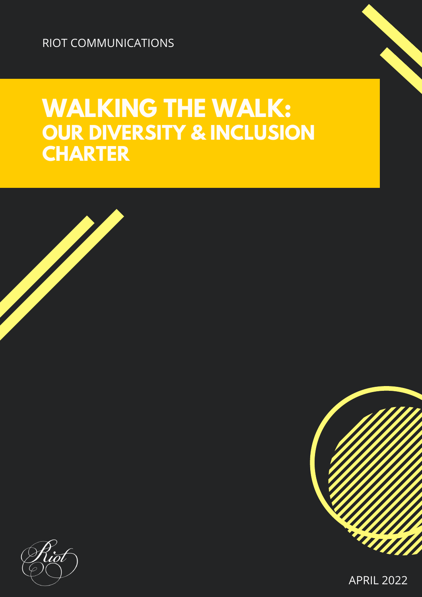RIOT COMMUNICATIONS

# **WALKING THE WALK: OUR DIVERSITY & INCLUSION CHARTER**



APRIL 2022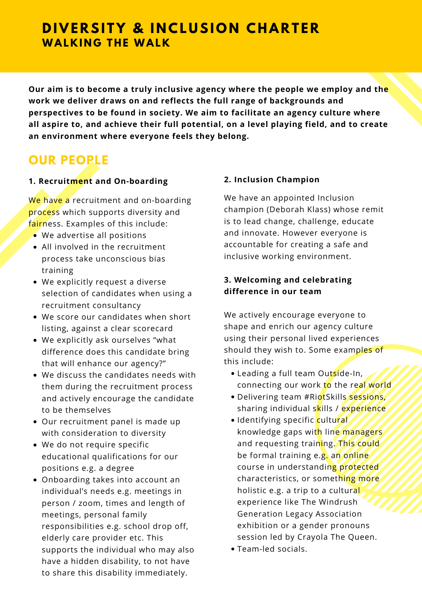# **DIVERSITY & INCLUSION CHARTER WALKING THE WALK**

**Our aim is to become a truly inclusive agency where the people we employ and the work we deliver draws on and reflects the full range of backgrounds and perspectives to be found in society. We aim to facilitate an agency culture where all aspire to, and achieve their full potential, on a level playing field, and to create an environment where everyone feels they belong.**

# **OUR PEOPLE**

#### **1. Recruitment and On-boarding**

We have a recruitment and on-boarding process which supports diversity and fairness. Examples of this include:

- We advertise all positions
- All involved in the recruitment process take unconscious bias training
- We explicitly request a diverse selection of candidates when using a recruitment consultancy
- We score our candidates when short listing, against a clear scorecard
- We explicitly ask ourselves "what difference does this candidate bring that will enhance our agency?"
- We discuss the candidates needs with them during the recruitment process and actively encourage the candidate to be themselves
- Our recruitment panel is made up with consideration to diversity
- We do not require specific educational qualifications for our positions e.g. a degree
- Onboarding takes into account an individual's needs e.g. meetings in person / zoom, times and length of meetings, personal family responsibilities e.g. school drop off, elderly care provider etc. This supports the individual who may also have a hidden disability, to not have to share this disability immediately.

#### **2. Inclusion Champion**

We have an appointed Inclusion champion (Deborah Klass) whose remit is to lead change, challenge, educate and innovate. However everyone is accountable for creating a safe and inclusive working environment.

#### **3. Welcoming and celebrating difference in our team**

We actively encourage everyone to shape and enrich our agency culture using their personal lived experiences should they wish to. Some examples of this include:

- Leading a full team Outside-In, connecting our work to the real world
- . Delivering team #RiotSkills sessions, sharing individual skills / experience
- Identifying specific cultural knowledge gaps with line managers and requesting training. This could be formal training e.g. an online course in understanding protected characteristics, or something more holistic e.g. a trip to a cultural experience like The Windrush Generation Legacy Association exhibition or a gender pronouns session led by Crayola The Queen.
- Team-led socials.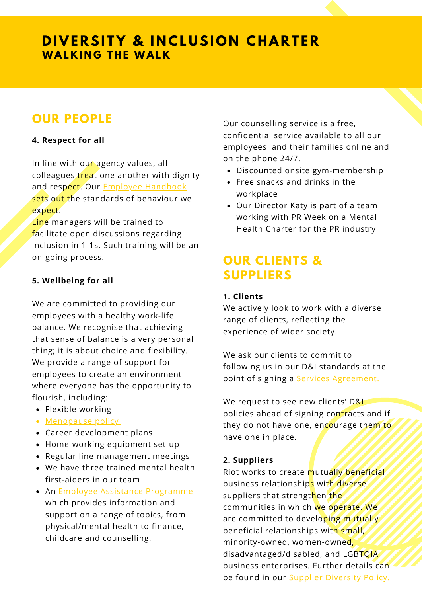# **DIVERSITY & INCLUSION CHARTER WALKING THE WALK**

# **OUR PEOPLE**

#### **4. Respect for all**

In line with our agency values, all colleagues *treat* one another with dignity and respect. Our **Employee [Handbook](https://www.dropbox.com/scl/fi/3zrao1rndb537gyuboj64/Riot-Handbook-October-2021.docx?dl=0&rlkey=98kdl8j2k0ov384bl0k1ad2at)** sets out the standards of behaviour we expect.

Line managers will be trained to facilitate open discussions regarding inclusion in 1-1s. Such training will be an on-going process.

#### **5. Wellbeing for all**

We are committed to providing our employees with a healthy work-life balance. We recognise that achieving that sense of balance is a very personal thing; it is about choice and flexibility. We provide a range of support for employees to create an environment where everyone has the opportunity to flourish, including:

- Flexible working
- [Menopause](https://www.dropbox.com/scl/fi/nv4b57xtkobfvtxl1gkch/Menopause-Policy.docx?dl=0&rlkey=qe5e68xivr755wxeq97zxcdts) policy
- Career development plans
- Home-working equipment set-up
- Regular line-management meetings
- We have three trained mental health first-aiders in our team
- An **Employee Assistance [Programme](https://www.dropbox.com/s/gg7gtv3dzj1kv50/Health%20Assured%20EAP%20Services.pdf?dl=0)** which provides information and support on a range of topics, from physical/mental health to finance, childcare and counselling.

Our counselling service is a free, confidential service available to all our employees and their families online and on the phone 24/7.

- Discounted onsite gym-membership
- Free snacks and drinks in the workplace
- Our Director Katy is part of a team working with PR Week on a Mental Health Charter for the PR industry

# **OUR CLIENTS & SUPPLIERS**

#### **1. Clients**

We actively look to work with a diverse range of clients, reflecting the experience of wider society.

We ask our clients to commit to following us in our D&I standards at the point of signing a **Services Agreement**.

We request to see new clients' D&I policies ahead of signing contracts and if they do not have one, encourage them to have one in place.

#### **2. Suppliers**

Riot works to create mutually beneficial business relationships with diverse suppliers that strengthen the communities in which we operate. We are committed to developing mutually beneficial relationships with small, minority-owned, women-owned, disadvantaged/disabled, and LGBTQIA business enterprises. Further details can be found in our **Supplier [Diversity](https://www.dropbox.com/scl/fi/j2x4p8nvaf3mosclju4mi/Supplier-Diversity-Policy.docx?dl=0&rlkey=cc2v2axnvmpygqkivtwozkfm1) Policy**.